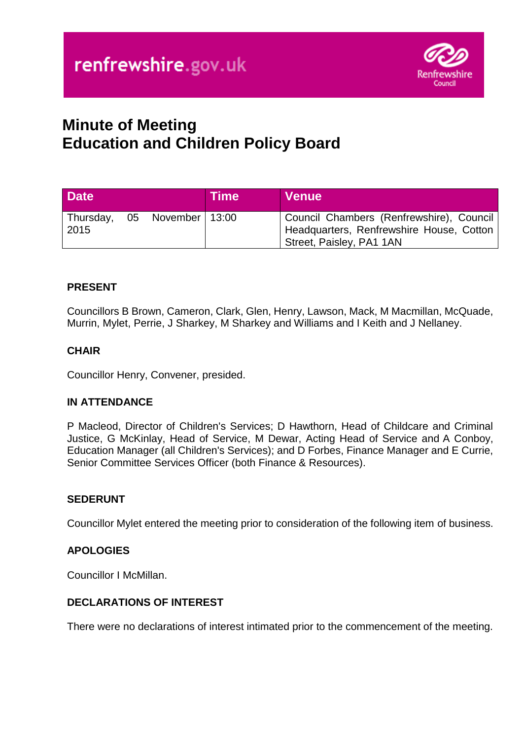

# **Minute of Meeting Education and Children Policy Board**

| <b>Date</b> |                               | <b>Time</b> | <b>Venue</b>                                                                                                       |
|-------------|-------------------------------|-------------|--------------------------------------------------------------------------------------------------------------------|
| 2015        | Thursday, 05 November   13:00 |             | Council Chambers (Renfrewshire), Council  <br>Headquarters, Renfrewshire House, Cotton<br>Street, Paisley, PA1 1AN |

# **PRESENT**

Councillors B Brown, Cameron, Clark, Glen, Henry, Lawson, Mack, M Macmillan, McQuade, Murrin, Mylet, Perrie, J Sharkey, M Sharkey and Williams and I Keith and J Nellaney.

# **CHAIR**

Councillor Henry, Convener, presided.

## **IN ATTENDANCE**

P Macleod, Director of Children's Services; D Hawthorn, Head of Childcare and Criminal Justice, G McKinlay, Head of Service, M Dewar, Acting Head of Service and A Conboy, Education Manager (all Children's Services); and D Forbes, Finance Manager and E Currie, Senior Committee Services Officer (both Finance & Resources).

## **SEDERUNT**

Councillor Mylet entered the meeting prior to consideration of the following item of business.

## **APOLOGIES**

Councillor I McMillan.

## **DECLARATIONS OF INTEREST**

There were no declarations of interest intimated prior to the commencement of the meeting.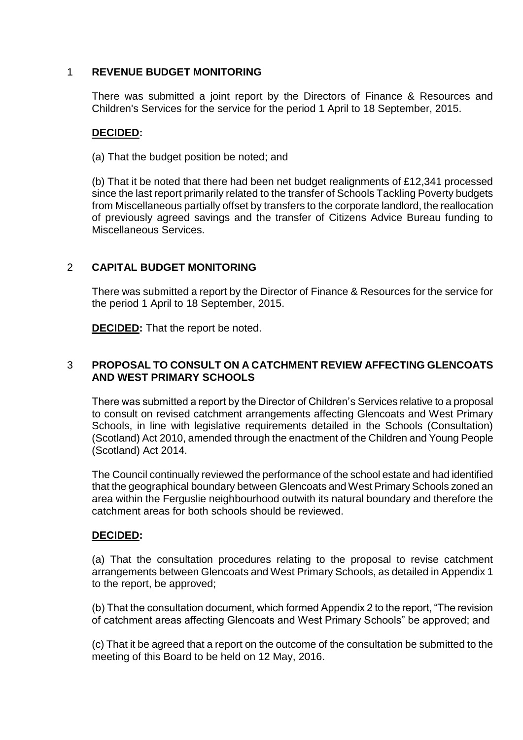## 1 **REVENUE BUDGET MONITORING**

There was submitted a joint report by the Directors of Finance & Resources and Children's Services for the service for the period 1 April to 18 September, 2015.

## **DECIDED:**

(a) That the budget position be noted; and

(b) That it be noted that there had been net budget realignments of £12,341 processed since the last report primarily related to the transfer of Schools Tackling Poverty budgets from Miscellaneous partially offset by transfers to the corporate landlord, the reallocation of previously agreed savings and the transfer of Citizens Advice Bureau funding to Miscellaneous Services.

# 2 **CAPITAL BUDGET MONITORING**

There was submitted a report by the Director of Finance & Resources for the service for the period 1 April to 18 September, 2015.

**DECIDED:** That the report be noted.

## 3 **PROPOSAL TO CONSULT ON A CATCHMENT REVIEW AFFECTING GLENCOATS AND WEST PRIMARY SCHOOLS**

There was submitted a report by the Director of Children's Services relative to a proposal to consult on revised catchment arrangements affecting Glencoats and West Primary Schools, in line with legislative requirements detailed in the Schools (Consultation) (Scotland) Act 2010, amended through the enactment of the Children and Young People (Scotland) Act 2014.

The Council continually reviewed the performance of the school estate and had identified that the geographical boundary between Glencoats and West Primary Schools zoned an area within the Ferguslie neighbourhood outwith its natural boundary and therefore the catchment areas for both schools should be reviewed.

## **DECIDED:**

(a) That the consultation procedures relating to the proposal to revise catchment arrangements between Glencoats and West Primary Schools, as detailed in Appendix 1 to the report, be approved;

(b) That the consultation document, which formed Appendix 2 to the report, "The revision of catchment areas affecting Glencoats and West Primary Schools" be approved; and

(c) That it be agreed that a report on the outcome of the consultation be submitted to the meeting of this Board to be held on 12 May, 2016.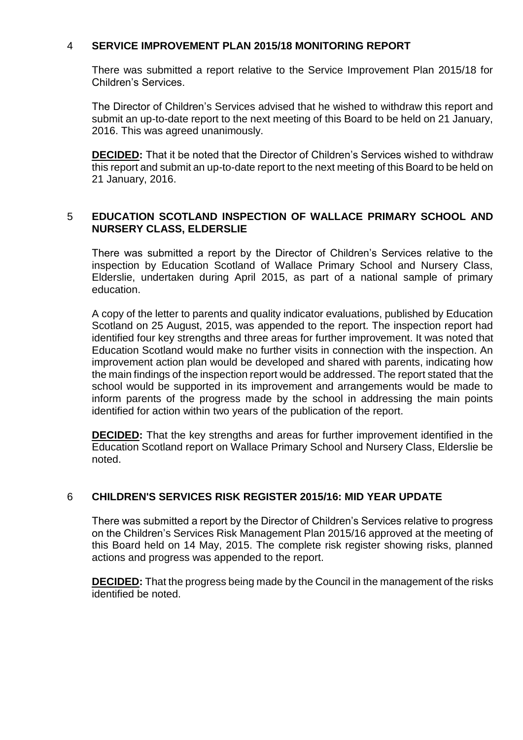## 4 **SERVICE IMPROVEMENT PLAN 2015/18 MONITORING REPORT**

There was submitted a report relative to the Service Improvement Plan 2015/18 for Children's Services.

The Director of Children's Services advised that he wished to withdraw this report and submit an up-to-date report to the next meeting of this Board to be held on 21 January, 2016. This was agreed unanimously.

**DECIDED:** That it be noted that the Director of Children's Services wished to withdraw this report and submit an up-to-date report to the next meeting of this Board to be held on 21 January, 2016.

## 5 **EDUCATION SCOTLAND INSPECTION OF WALLACE PRIMARY SCHOOL AND NURSERY CLASS, ELDERSLIE**

There was submitted a report by the Director of Children's Services relative to the inspection by Education Scotland of Wallace Primary School and Nursery Class, Elderslie, undertaken during April 2015, as part of a national sample of primary education.

A copy of the letter to parents and quality indicator evaluations, published by Education Scotland on 25 August, 2015, was appended to the report. The inspection report had identified four key strengths and three areas for further improvement. It was noted that Education Scotland would make no further visits in connection with the inspection. An improvement action plan would be developed and shared with parents, indicating how the main findings of the inspection report would be addressed. The report stated that the school would be supported in its improvement and arrangements would be made to inform parents of the progress made by the school in addressing the main points identified for action within two years of the publication of the report.

**DECIDED:** That the key strengths and areas for further improvement identified in the Education Scotland report on Wallace Primary School and Nursery Class, Elderslie be noted.

# 6 **CHILDREN'S SERVICES RISK REGISTER 2015/16: MID YEAR UPDATE**

There was submitted a report by the Director of Children's Services relative to progress on the Children's Services Risk Management Plan 2015/16 approved at the meeting of this Board held on 14 May, 2015. The complete risk register showing risks, planned actions and progress was appended to the report.

**DECIDED:** That the progress being made by the Council in the management of the risks identified be noted.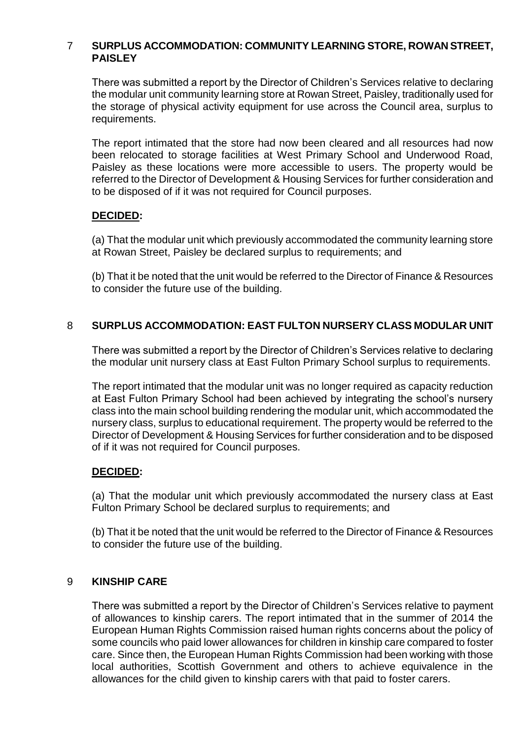## 7 **SURPLUS ACCOMMODATION: COMMUNITY LEARNING STORE, ROWAN STREET, PAISLEY**

There was submitted a report by the Director of Children's Services relative to declaring the modular unit community learning store at Rowan Street, Paisley, traditionally used for the storage of physical activity equipment for use across the Council area, surplus to requirements.

The report intimated that the store had now been cleared and all resources had now been relocated to storage facilities at West Primary School and Underwood Road, Paisley as these locations were more accessible to users. The property would be referred to the Director of Development & Housing Services for further consideration and to be disposed of if it was not required for Council purposes.

# **DECIDED:**

(a) That the modular unit which previously accommodated the community learning store at Rowan Street, Paisley be declared surplus to requirements; and

(b) That it be noted that the unit would be referred to the Director of Finance & Resources to consider the future use of the building.

## 8 **SURPLUS ACCOMMODATION: EAST FULTON NURSERY CLASS MODULAR UNIT**

There was submitted a report by the Director of Children's Services relative to declaring the modular unit nursery class at East Fulton Primary School surplus to requirements.

The report intimated that the modular unit was no longer required as capacity reduction at East Fulton Primary School had been achieved by integrating the school's nursery class into the main school building rendering the modular unit, which accommodated the nursery class, surplus to educational requirement. The property would be referred to the Director of Development & Housing Services for further consideration and to be disposed of if it was not required for Council purposes.

## **DECIDED:**

(a) That the modular unit which previously accommodated the nursery class at East Fulton Primary School be declared surplus to requirements; and

(b) That it be noted that the unit would be referred to the Director of Finance & Resources to consider the future use of the building.

#### 9 **KINSHIP CARE**

There was submitted a report by the Director of Children's Services relative to payment of allowances to kinship carers. The report intimated that in the summer of 2014 the European Human Rights Commission raised human rights concerns about the policy of some councils who paid lower allowances for children in kinship care compared to foster care. Since then, the European Human Rights Commission had been working with those local authorities, Scottish Government and others to achieve equivalence in the allowances for the child given to kinship carers with that paid to foster carers.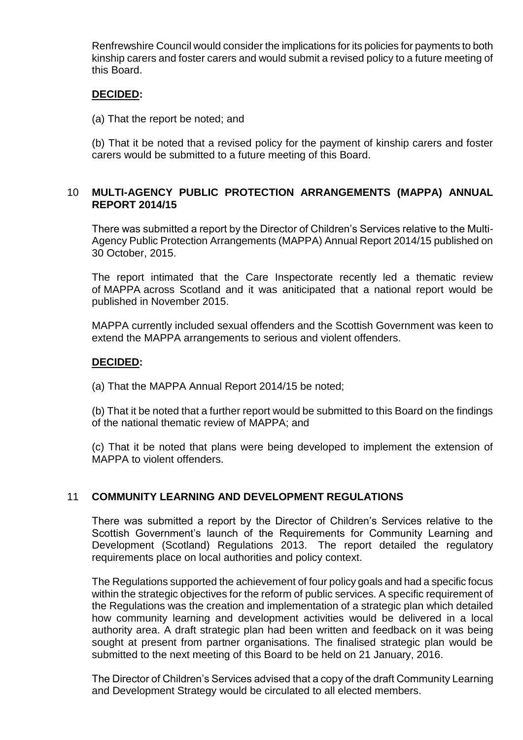Renfrewshire Council would consider the implications for its policies for payments to both kinship carers and foster carers and would submit a revised policy to a future meeting of this Board.

#### **DECIDED:**

(a) That the report be noted; and

(b) That it be noted that a revised policy for the payment of kinship carers and foster carers would be submitted to a future meeting of this Board.

## 10 **MULTI-AGENCY PUBLIC PROTECTION ARRANGEMENTS (MAPPA) ANNUAL REPORT 2014/15**

There was submitted a report by the Director of Children's Services relative to the Multi-Agency Public Protection Arrangements (MAPPA) Annual Report 2014/15 published on 30 October, 2015.

The report intimated that the Care Inspectorate recently led a thematic review of MAPPA across Scotland and it was aniticipated that a national report would be published in November 2015.

MAPPA currently included sexual offenders and the Scottish Government was keen to extend the MAPPA arrangements to serious and violent offenders.

## **DECIDED:**

(a) That the MAPPA Annual Report 2014/15 be noted;

(b) That it be noted that a further report would be submitted to this Board on the findings of the national thematic review of MAPPA; and

(c) That it be noted that plans were being developed to implement the extension of MAPPA to violent offenders.

## 11 **COMMUNITY LEARNING AND DEVELOPMENT REGULATIONS**

There was submitted a report by the Director of Children's Services relative to the Scottish Government's launch of the Requirements for Community Learning and Development (Scotland) Regulations 2013. The report detailed the regulatory requirements place on local authorities and policy context.

The Regulations supported the achievement of four policy goals and had a specific focus within the strategic objectives for the reform of public services. A specific requirement of the Regulations was the creation and implementation of a strategic plan which detailed how community learning and development activities would be delivered in a local authority area. A draft strategic plan had been written and feedback on it was being sought at present from partner organisations. The finalised strategic plan would be submitted to the next meeting of this Board to be held on 21 January, 2016.

The Director of Children's Services advised that a copy of the draft Community Learning and Development Strategy would be circulated to all elected members.